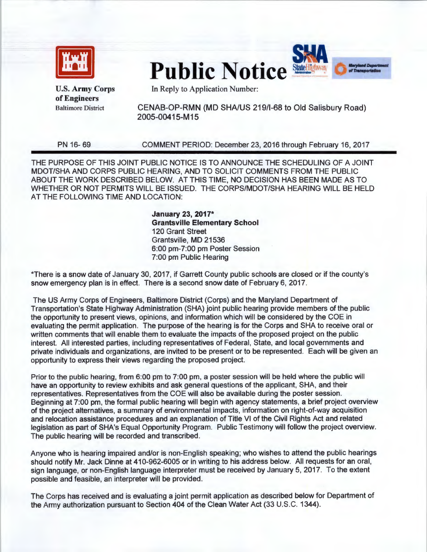

**Public Notice** 



U.S. Army Corps of Engineers Baltimore District

In Reply to Application Number:

CENAB-OP-RMN (MD SHA/US 219/1-68 to Old Salisbury Road) 2005-00415-M 15

PN 16-69

COMMENT PERIOD: December 23, 2016 through February 16, 2017

THE PURPOSE OF THIS JOINT PUBLIC NOTICE IS TO ANNOUNCE THE SCHEDULING OF A JOINT MOOT/SHA AND CORPS PUBLIC HEARING, AND TO SOLICIT COMMENTS FROM THE PUBLIC ABOUT THE WORK DESCRIBED BELOW. AT THIS TIME, NO DECISION HAS BEEN MADE AS TO WHETHER OR NOT PERMITS WILL BE ISSUED. THE CORPS/MOOT/SHA HEARING WILL BE HELD AT THE FOLLOWING TIME AND LOCATION:

> **January** 23, **2017\* Grantsville Elementary School**  120 Grant Street Grantsville, MD 21536 6:00 pm-7:00 pm Poster Session 7:00 pm Public Hearing

\*There is a snow date of January 30, 2017, if Garrett County public schools are closed or if the county's snow emergency plan is in effect. There is a second snow date of February 6, 2017.

The US Army Corps of Engineers, Baltimore District (Corps) and the Maryland Department of Transportation's State Highway Administration (SHA) joint public hearing provide members of the public the opportunity to present views, opinions, and information which will be considered by the COE in evaluating the permit application. The purpose of the hearing is for the Corps and SHA to receive oral or written comments that will enable them to evaluate the impacts of the proposed project on the public interest. All interested parties, including representatives of Federal, State, and local governments and private individuals and organizations, are invited to be present or to be represented. Each will be given an opportunity to express their views regarding the proposed project.

Prior to the public hearing, from 6:00 pm to 7:00 pm, a poster session will be held where the public will have an opportunity to review exhibits and ask general questions of the applicant, SHA, and their representatives. Representatives from the COE will also be available during the poster session. Beginning at 7:00 pm, the formal public hearing will begin with agency statements, a brief project overview of the project alternatives, a summary of environmental impacts, information on right-of-way acquisition and relocation assistance procedures and an explanation of Title VI of the Civil Rights Act and related legislation as part of SHA's Equal Opportunity Program. Public Testimony will follow the project overview. The public hearing will be recorded and transcribed.

Anyone who is hearing impaired and/or is non-English speaking; who wishes to attend the public hearings should notify Mr. Jack Dinne at 410-962-6005 or in writing to his address below. All requests for an oral, sign language, or non-English language interpreter must be received by January 5, 2017. To the extent possible and feasible, an interpreter will be provided.

The Corps has received and is evaluating a joint permit application as described below for Department of the Army authorization pursuant to Section 404 of the Clean Water Act (33 U.S.C. 1344).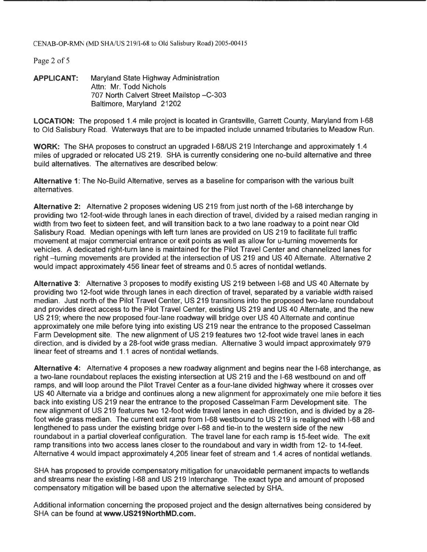CENAB-OP-RMN (MD SHA/US 219/I-68 to Old Salisbury Road) 2005-00415

Page 2 of 5

**APPLICANT:** Maryland State Highway Administration Attn: Mr. Todd Nichols 707 North Calvert Street Mailstop - C-303 Baltimore, Maryland 21202

**LOCATION:** The proposed 1.4 mile project is located in Grantsville, Garrett County, Maryland from 1-68 to Old Salisbury Road. Waterways that are to be impacted include unnamed tributaries to Meadow Run.

**WORK:** The SHA proposes to construct an upgraded 1-68/US 219 Interchange and approximately 1.4 miles of upgraded or relocated US 219. SHA is currently considering one no-build alternative and three build alternatives. The alternatives are described below:

**Alternative 1:** The No-Build Alternative, serves as a baseline for comparison with the various built alternatives.

**Alternative 2:** Alternative 2 proposes widening US 219 from just north of the 1-68 interchange by providing two 12-foot-wide through lanes in each direction of travel, divided by a raised median ranging in width from two feet to sixteen feet, and will transition back to a two lane roadway to a point near Old Salisbury Road. Median openings with left turn lanes are provided on US 219 to facilitate full traffic movement at major commercial entrance or exit points as well as allow for u-turning movements for vehicles. A dedicated right-turn lane is maintained for the Pilot Travel Center and channelized lanes for right-turning movements are provided at the intersection of US 219 and US 40 Alternate. Alternative 2 would impact approximately 456 linear feet of streams and 0.5 acres of nontidal wetlands.

**Alternative** 3: Alternative 3 proposes to modify existing US 219 between 1-68 and US 40 Alternate by providing two 12-foot wide through lanes in each direction of travel, separated by a variable width raised median. Just north of the Pilot Travel Center, US 219 transitions into the proposed two-lane roundabout and provides direct access to the Pilot Travel Center, existing US 219 and US 40 Alternate, and the new US 219; where the new proposed four-lane roadway will bridge over US 40 Alternate and continue approximately one mile before tying into existing US 219 near the entrance to the proposed Casselman Farm Development site. The new alignment of US 219 features two 12-foot wide travel lanes in each direction, and is divided by a 28-foot wide grass median. Alternative 3 would impact approximately 979 linear feet of streams and 1. 1 acres of nontidal wetlands.

**Alternative 4:** Alternative 4 proposes a new roadway alignment and begins near the 1-68 interchange, as a two-lane roundabout replaces the existing intersection at US 219 and the 1-68 westbound on and off ramps, and will loop around the Pilot Travel Center as a four-lane divided highway where it crosses over US 40 Alternate via a bridge and continues along a new alignment for approximately one mile before it ties back into existing US 219 near the entrance to the proposed Casselman Farm Development site. The new alignment of US 219 features two 12-foot wide travel lanes in each direction, and is divided by a 28 foot wide grass median. The current exit ramp from 1-68 westbound to US 219 is realigned with 1-68 and lengthened to pass under the existing bridge over 1-68 and tie-in to the western side of the new roundabout in a partial cloverleaf configuration. The travel lane for each ramp is 15-feet wide. The exit ramp transitions into two access lanes closer to the roundabout and vary in width from 12- to 14-feet. Alternative 4 would impact approximately 4,205 linear feet of stream and 1.4 acres of nontidal wetlands.

SHA has proposed to provide compensatory mitigation for unavoidable permanent impacts to wetlands and streams near the existing 1-68 and US 219 Interchange. The exact type and amount of proposed compensatory mitigation will be based upon the alternative selected by SHA.

Additional information concerning the proposed project and the design alternatives being considered by SHA can be found at **www.US219NorthMD.com.**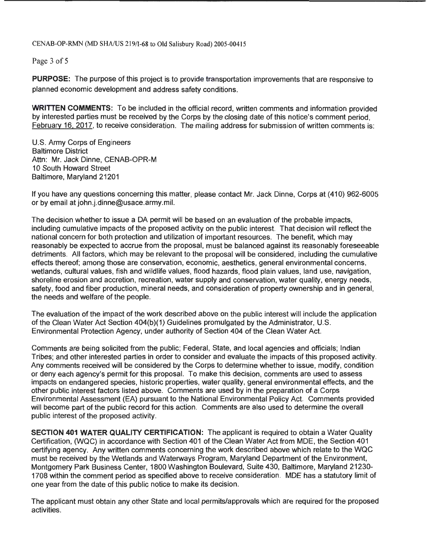CENAB-OP-RMN (MD SHA/US 219/1-68 to Old Salisbury Road) 2005-00415

Page 3 of 5

**PURPOSE:** The purpose of this project is to provide transportation improvements that are responsive to planned economic development and address safety conditions.

**WRITTEN COMMENTS:** To be included in the official record, written comments and information provided by interested parties must be received by the Corps by the closing date of this notice's comment period, February 16, 2017, to receive consideration. The mailing address for submission of written comments is:

U.S. Army Corps of Engineers Baltimore District Attn: Mr. Jack Dinne, CENAB-OPR-M 10 South Howard Street Baltimore, Maryland 21201

If you have any questions concerning this matter, please contact Mr. Jack Dinne, Corps at (410) 962-6005 or by email at john.j.dinne@usace.army.mil.

The decision whether to issue a DA permit will be based on an evaluation of the probable impacts, including cumulative impacts of the proposed activity on the public interest. That decision will reflect the national concern for both protection and utilization of important resources. The benefit, which may reasonably be expected to accrue from the proposal, must be balanced against its reasonably foreseeable detriments. All factors, which may be relevant to the proposal will be considered, including the cumulative effects thereof; among those are conservation, economic, aesthetics, general environmental concerns, wetlands, cultural values, fish and wildlife values, flood hazards, flood plain values, land use, navigation, shoreline erosion and accretion, recreation, water supply and conservation, water quality, energy needs, safety, food and fiber production, mineral needs, and consideration of property ownership and in general, the needs and welfare of the people.

The evaluation of the impact of the work described above on the public interest will include the application of the Clean Water Act Section 404(b)(1) Guidelines promulgated by the Administrator, U.S. Environmental Protection Agency, under authority of Section 404 of the Clean Water Act.

Comments are being solicited from the public; Federal, State, and local agencies and officials; Indian Tribes; and other interested parties in order to consider and evaluate the impacts of this proposed activity. Any comments received will be considered by the Corps to determine whether to issue, modify, condition or deny each agency's permit for this proposal. To make this decision, comments are used to assess impacts on endangered species, historic properties, water quality, general environmental effects, and the other public interest factors listed above. Comments are used by in the preparation of a Corps Environmental Assessment (EA) pursuant to the National Environmental Policy Act. Comments provided will become part of the public record for this action. Comments are also used to determine the overall public interest of the proposed activity.

**SECTION 401 WATER QUALITY CERTIFICATION:** The applicant is required to obtain a Water Quality Certification, (WQC) in accordance with Section 401 of the Clean Water Act from MDE, the Section 401 certifying agency. Any written comments concerning the work described above which relate to the WQC must be received by the Wetlands and Waterways Program, Maryland Department of the Environment, Montgomery Park Business Center, 1800 Washington Boulevard, Suite 430, Baltimore, Maryland 21230- 1708 within the comment period as specified above to receive consideration. MDE has a statutory limit of one year from the date of this public notice to make its decision.

The applicant must obtain any other State and local permits/approvals which are required for the proposed activities.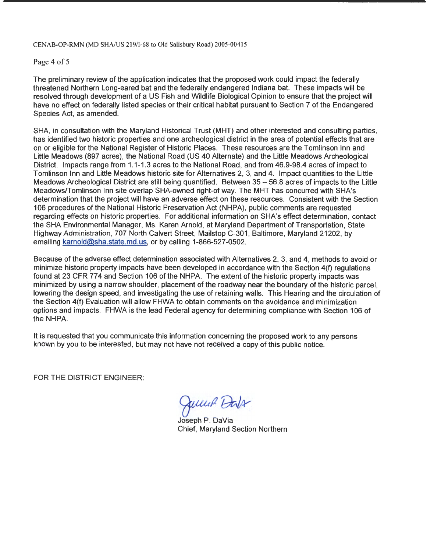## CENAB-OP-RMN (MD SHA/US 219/1-68 to Old Salisbury Road) 2005-00415

## Page 4 of 5

The preliminary review of the application indicates that the proposed work could impact the federally threatened Northern Long-eared bat and the federally endangered Indiana bat. These impacts will be resolved through development of a US Fish and Wildlife Biological Opinion to ensure that the project will have no effect on federally listed species or their critical habitat pursuant to Section 7 of the Endangered Species Act, as amended.

SHA, in consultation with the Maryland Historical Trust (MHT) and other interested and consulting parties, has identified two historic properties and one archeological district in the area of potential effects that are on or eligible for the National Register of Historic Places. These resources are the Tomlinson Inn and Little Meadows (897 acres), the National Road (US 40 Alternate) and the Little Meadows Archeological District. Impacts range from 1.1-1.3 acres to the National Road, and from 46.9-98.4 acres of impact to Tomlinson Inn and Little Meadows historic site for Alternatives 2, 3, and 4. Impact quantities to the Little Meadows Archeological District are still being quantified. Between 35 - 56.8 acres of impacts to the Little Meadows/Tomlinson Inn site overlap SHA-owned right-of way. The MHT has concurred with SHA's determination that the project will have an adverse effect on these resources. Consistent with the Section 106 procedures of the National Historic Preservation Act (NHPA), public comments are requested regarding effects on historic properties. For additional information on SHA's effect determination, contact the SHA Environmental Manager, Ms. Karen Arnold , at Maryland Department of Transportation, State Highway Administration, 707 North Calvert Street, Mailstop C-301 , Baltimore, Maryland 21202, by emailing karnold@sha.state.md.us, or by calling 1-866-527-0502.

Because of the adverse effect determination associated with Alternatives 2, 3, and 4, methods to avoid or minimize historic property impacts have been developed in accordance with the Section 4(f) regulations found at 23 CFR 774 and Section 106 of the NHPA. The extent of the historic property impacts was minimized by using a narrow shoulder, placement of the roadway near the boundary of the historic parcel, lowering the design speed, and investigating the use of retaining walls. This Hearing and the circulation of the Section 4(f) Evaluation will allow FHWA to obtain comments on the avoidance and minimization options and impacts. FHWA is the lead Federal agency for determining compliance with Section 106 of the NHPA.

It is requested that you communicate this information concerning the proposed work to any persons known by you to be interested, but may not have not received a copy of this public notice.

FOR THE DISTRICT ENGINEER:

Jump Dals

Joseph P. DaVia Chief, Maryland Section Northern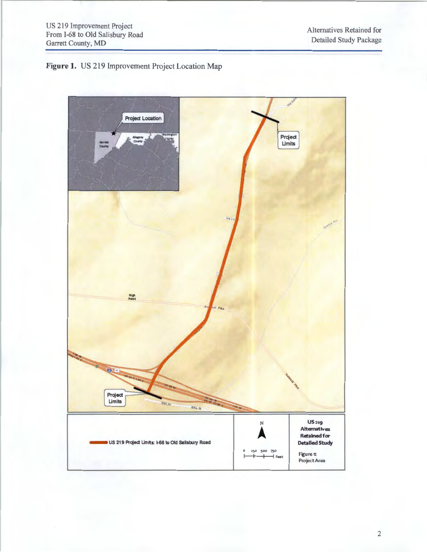

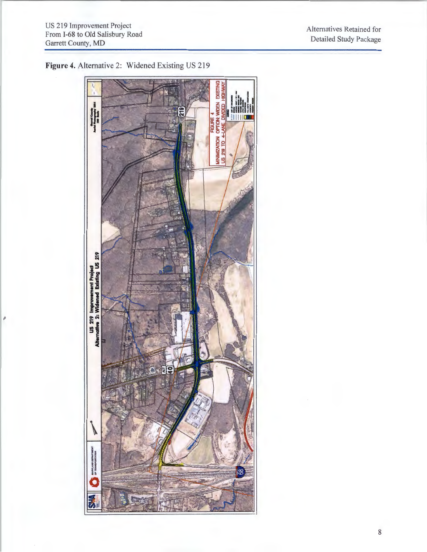'

Alternatives Retained for Detailed Study Package



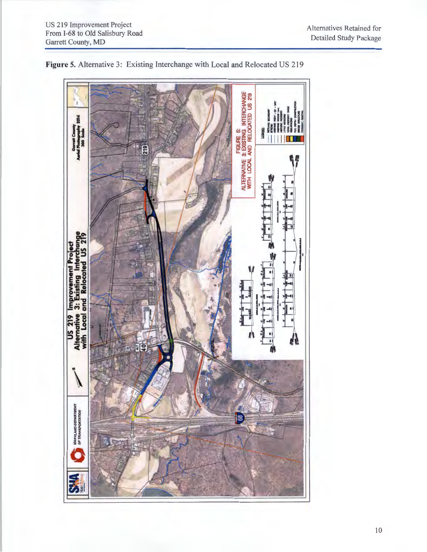